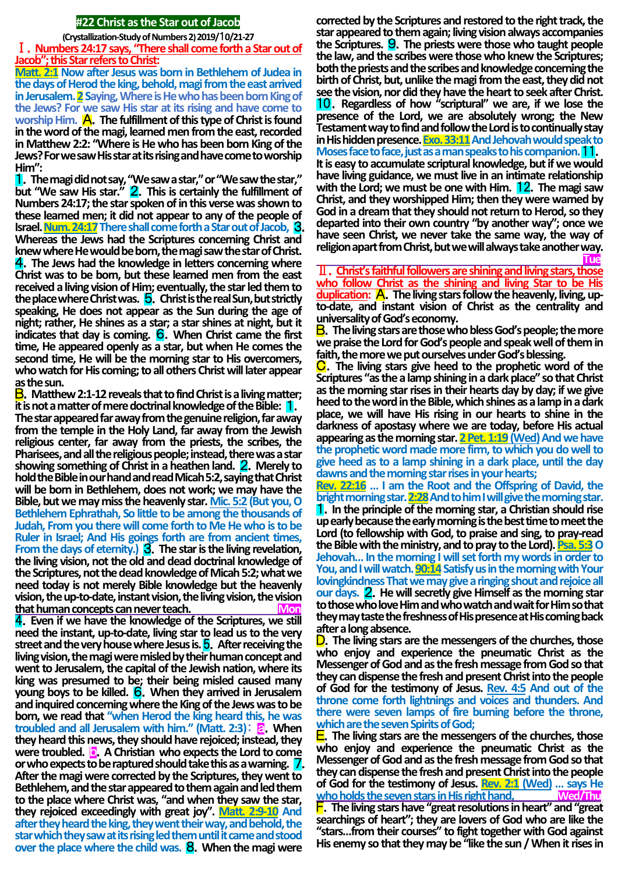#### **#22 Christ as the Star out of Jacob**

**(Crystallization-Study of Numbers 2) 2019/**1**0/21-27**

Ⅰ.**Numbers 24:17 says, "There shall come forth a Star out of Jacob"; this Star refers to Christ:**

**Matt. 2:1 Now after Jesus was born in Bethlehem of Judea in the days of Herod the king, behold, magi from the east arrived**  in Jerusalem. **2** Saying, Where is He who has been born King of **the Jews? For we saw His star at its rising and have come to**  worship Him. **A.** The fulfillment of this type of Christ is found **in the word of the magi, learned men from the east, recorded in Matthew 2:2: "Where is He who has been born King of the Jews? For we saw His star at its rising and have come to worship Him":**

1.**The magi did not say, "We saw a star," or "We saw the star," but "We saw His star."** 2.**This is certainly the fulfillment of Numbers 24:17; the star spoken of in this verse was shown to these learned men; it did not appear to any of the people of Israel. Num. 24:17There shall come forth a Star out of Jacob,** 3. **Whereas the Jews had the Scriptures concerning Christ and knew where He would be born, the magi saw the star of Christ.** 4.**The Jews had the knowledge in letters concerning where Christ was to be born, but these learned men from the east received a living vision of Him; eventually, the star led them to the place where Christ was.** 5.**Christ is the real Sun, but strictly speaking, He does not appear as the Sun during the age of night; rather, He shines as a star; a star shines at night, but it indicates that day is coming.** 6.**When Christ came the first time, He appeared openly as a star, but when He comes the second time, He will be the morning star to His overcomers, who watch for His coming; to all others Christ will later appear as the sun.**

B.**Matthew 2:1-12 reveals that to find Christ is a living matter; it is not a matter of mere doctrinal knowledge of the Bible:** 1. **The star appeared far away from the genuine religion, far away from the temple in the Holy Land, far away from the Jewish religious center, far away from the priests, the scribes, the Pharisees, and all the religious people; instead, there was a star showing something of Christ in a heathen land.** 2.**Merely to hold the Bible in our hand and read Micah 5:2, saying that Christ will be born in Bethlehem, does not work; we may have the Bible, but we may miss the heavenly star. Mic. 5:2 (But you, O Bethlehem Ephrathah, So little to be among the thousands of Judah, From you there will come forth to Me He who is to be Ruler in Israel; And His goings forth are from ancient times, From the days of eternity.)** 3.**The star is the living revelation, the living vision, not the old and dead doctrinal knowledge of the Scriptures, not the dead knowledge of Micah 5:2; what we need today is not merely Bible knowledge but the heavenly vision, the up-to-date, instant vision, the living vision, the vision that human concepts can never teach** 

4.**Even if we have the knowledge of the Scriptures, we still need the instant, up-to-date, living star to lead us to the very street and the very house where Jesus is.** 5.**After receiving the living vision, the magi were misled by their human concept and went to Jerusalem, the capital of the Jewish nation, where its king was presumed to be; their being misled caused many young boys to be killed.** 6.**When they arrived in Jerusalem and inquired concerning where the King of the Jews was to be born, we read that "when Herod the king heard this, he was troubled and all Jerusalem with him." (Matt. 2:3): a. When they heard this news, they should have rejoiced; instead, they were troubled. c.** A Christian who expects the Lord to come **or who expects to be raptured should take this as a warning.** /. **After the magi were corrected by the Scriptures, they went to Bethlehem, and the star appeared to them again and led them to the place where Christ was, "and when they saw the star, they rejoiced exceedingly with great joy". Matt. 2:9-10 And after they heard the king, they went their way, and behold, the star which they saw at its rising led them until it came and stood over the place where the child was.** 8.**When the magi were** 

**corrected by the Scriptures and restored to the right track, the star appeared to them again; living vision always accompanies the Scriptures.** 9.**The priests were those who taught people the law, and the scribes were those who knew the Scriptures; both the priests and the scribes and knowledge concerning the birth of Christ, but, unlike the magi from the east, they did not see the vision, nor did they have the heart to seek after Christ.** 10.**Regardless of how "scriptural" we are, if we lose the presence of the Lord, we are absolutely wrong; the New Testament way to find and follow the Lord is to continually stay in His hidden presence. <u>Exo. 33:11</u> And Jehovah would speak to Moses face to face, just as a man speaks to his companion.** 11. **It is easy to accumulate scriptural knowledge, but if we would have living guidance, we must live in an intimate relationship with the Lord; we must be one with Him.** 12.**The magi saw Christ, and they worshipped Him; then they were warned by God in a dream that they should not return to Herod, so they departed into their own country "by another way"; once we have seen Christ, we never take the same way, the way of religion apart from Christ, but we will always take another way. Tue** 

Ⅱ.**Christ's faithful followers are shining and living stars, those who follow Christ as the shining and living Star to be His duplication:** A.**The living stars follow the heavenly, living, upto-date, and instant vision of Christ as the centrality and universality of God's economy.**

B.**The living stars are those who bless God's people; the more we praise the Lord for God's people and speak well of them in faith, the more we put ourselves under God's blessing.**

C.**The living stars give heed to the prophetic word of the Scriptures "as the a lamp shining in a dark place" so that Christ as the morning star rises in their hearts day by day; if we give heed to the word in the Bible, which shines as a lamp in a dark place, we will have His rising in our hearts to shine in the darkness of apostasy where we are today, before His actual**  appearing as the morning star. **2 Pet. 1:19** (Wed) And we have **the prophetic word made more firm, to which you do well to give heed as to a lamp shining in a dark place, until the day dawns and the morning star rises in your hearts;**

**Rev. 22:16 … I am the Root and the Offspring of David, the bright morning star. 2:28And to him I will give the morning star.** 1.**In the principle of the morning star, a Christian should rise up early because the early morning is the best time to meet the Lord (to fellowship with God, to praise and sing, to pray-read the Bible with the ministry, and to pray to the Lord). Psa. 5:3O Jehovah… In the morning I will set forth my words in order to**  You, and I will watch. **90:14** Satisfy us in the morning with Your **lovingkindness That we may give a ringing shout and rejoice all our days.** 2.**He will secretly give Himself as the morning star to those who love Him and who watch and wait for Him so that they may taste the freshness of His presence at His coming back after a long absence.**

D.**The living stars are the messengers of the churches, those who enjoy and experience the pneumatic Christ as the Messenger of God and as the fresh message from God so that they can dispense the fresh and present Christ into the people of God for the testimony of Jesus. Rev. 4:5 And out of the throne come forth lightnings and voices and thunders. And there were seven lamps of fire burning before the throne, which are the seven Spirits of God;**

E.**The living stars are the messengers of the churches, those who enjoy and experience the pneumatic Christ as the Messenger of God and as the fresh message from God so that they can dispense the fresh and present Christ into the people of God for the testimony of Jesus. Rev. 2:1 (Wed) … says He <u>who holds the seven stars in His right hand,</u>** F.**The living stars have "great resolutions in heart" and "great searchings of heart"; they are lovers of God who are like the "stars…from their courses" to fight together with God against His enemy so that they may be "like the sun / When it rises in**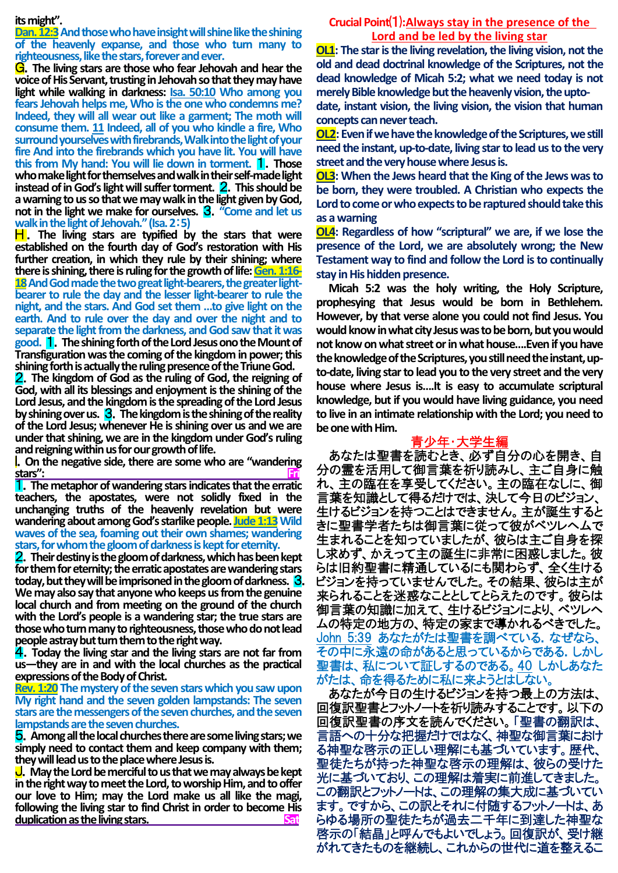#### **its might".**

**Dan. 12:3** And those who have insight will shine like the shining **of the heavenly expanse, and those who turn many to righteousness, like the stars, forever and ever.**

G.**The living stars are those who fear Jehovah and hear the voice of His Servant, trusting in Jehovah so that they may have light while walking in darkness: Isa. 50:10 Who among you fears Jehovah helps me, Who is the one who condemns me? Indeed, they will all wear out like a garment; The moth will consume them. 11 Indeed, all of you who kindle a fire, Who surround yourselves with firebrands, Walk into the light of your fire And into the firebrands which you have lit. You will have this from My hand: You will lie down in torment.** 1.**Those who make light for themselves and walk in their self-made light instead of in God's light will suffer torment.** 2.**This should be a warning to us so that we may walk in the light given by God, not in the light we make for ourselves.** 3.**"Come and let us walk in the light of Jehovah." (Isa. 2**:**5)**

**H**. The living stars are typified by the stars that were **established on the fourth day of God's restoration with His further creation, in which they rule by their shining; where there is shining, there is ruling for the growth of life: Gen. 1:16-** 18 And God made the two great light-bearers, the greater light**bearer to rule the day and the lesser light-bearer to rule the night, and the stars. And God set them …to give light on the earth. And to rule over the day and over the night and to separate the light from the darkness, and God saw that it was good.** 1.**The shining forth of the Lord Jesus ono the Mount of Transfiguration was the coming of the kingdom in power; this shining forth is actually the ruling presence of the Triune God.**

2.**The kingdom of God as the ruling of God, the reigning of God, with all its blessings and enjoyment is the shining of the Lord Jesus, and the kingdom is the spreading of the Lord Jesus by shining over us.** 3.**The kingdom is the shining of the reality of the Lord Jesus; whenever He is shining over us and we are under that shining, we are in the kingdom under God's ruling and reigning within us for our growth of life.**

I.**On the negative side, there are some who are "wandering stars": Fri**

1.**The metaphor of wandering stars indicates that the erratic teachers, the apostates, were not solidly fixed in the unchanging truths of the heavenly revelation but were wandering about among God's starlike people. Jude 1:13Wild waves of the sea, foaming out their own shames; wandering stars, for whom the gloom of darkness is kept for eternity.**

2.**Their destiny is the gloom of darkness, which has been kept for them for eternity; the erratic apostates are wandering stars today, but they will be imprisoned in the gloom of darkness.** 3. **We may also say that anyone who keeps us from the genuine local church and from meeting on the ground of the church with the Lord's people is a wandering star; the true stars are those who turn manyto righteousness, those who do not lead people astray but turn them to the right way.**

4.**Today the living star and the living stars are not far from us—they are in and with the local churches as the practical expressions of the Body of Christ.**

**Rev. 1:20 The mystery of the seven stars which you saw upon My right hand and the seven golden lampstands: The seven stars are the messengers of the seven churches, and the seven lampstands are the seven churches.**

5.**Among all the local churches there are some living stars; we simply need to contact them and keep company with them; they will lead us to the place where Jesus is.**

J.**May the Lord be merciful to us that we may always be kept in the right way to meet the Lord, to worship Him, and to offer our love to Him; may the Lord make us all like the magi, following the living star to find Christ in order to become His duplication as the living stars.** Sat

## **Crucial Point**⑴**:Always stay in the presence of the Lord and be led by the living star**

**OL1: The star is the living revelation, the living vision, not the old and dead doctrinal knowledge of the Scriptures, not the dead knowledge of Micah 5:2; what we need today is not merely Bible knowledge but the heavenly vision, the upto-**

**date, instant vision, the living vision, the vision that human concepts can never teach.**

**OL2: Even if we have the knowledge of the Scriptures, we still need the instant, up-to-date, living star to lead us to the very street and the very house where Jesus is.**

**OL3: When the Jews heard that the King of the Jews was to be born, they were troubled. A Christian who expects the**  Lord to come or who expects to be raptured should take this **as a warning**

**OL4: Regardless of how "scriptural" we are, if we lose the presence of the Lord, we are absolutely wrong; the New Testament way to find and follow the Lord is to continually stay in His hidden presence.**

**Micah 5:2 was the holy writing, the Holy Scripture, prophesying that Jesus would be born in Bethlehem. However, by that verse alone you could not find Jesus. You would know in what city Jesus was to be born, but you would not know on what street or in what house….Even if you have the knowledge of the Scriptures, you still need the instant, upto-date, living star to lead you to the very street and the very house where Jesus is….It is easy to accumulate scriptural knowledge, but if you would have living guidance, you need to live in an intimate relationship with the Lord; you need to be one with Him.** 

## 青少年・大学生編

あなたは聖書を読むとき、必ず自分の心を開き、自 分の霊を活用して御言葉を祈り読みし、主ご自身に触 れ、主の臨在を享受してください。主の臨在なしに、御 言葉を知識として得るだけでは、決して今日のビジョン、 生けるビジョンを持つことはできません。主が誕生すると きに聖書学者たちは御言葉に従って彼がベツレヘムで 生まれることを知っていましたが、彼らは主ご自身を探 し求めず、かえって主の誕生に非常に困惑しました。彼 らは旧約聖書に精通しているにも関わらず、全く生ける ビジョンを持っていませんでした。その結果、彼らは主が 来られることを迷惑なこととしてとらえたのです。彼らは 御言葉の知識に加えて、生けるビジョンにより、ベツレヘ ムの特定の地方の、特定の家まで導かれるべきでした。 John 5:39 あなたがたは聖書を調べている. なぜなら、 その中に永遠の命があると思っているからである.しかし 聖書は、私について証しするのである。40 しかしあなた がたは、命を得るために私に来ようとはしない。

あなたが今日の生けるビジョンを持つ最上の方法は、 回復訳聖書とフットノートを祈り読みすることです。以下の 回復訳聖書の序文を読んでください。「聖書の翻訳は、 言語への十分な把握だけではなく、神聖な御言葉におけ る神聖な啓示の正しい理解にも基づいています。歴代、 聖徒たちが持った神聖な啓示の理解は、彼らの受けた 光に基づいており、この理解は着実に前進してきました。 この翻訳とフットノートは、この理解の集大成に基づいてい ます。ですから、この訳とそれに付随するフットノートは、あ らゆる場所の聖徒たちが過去二千年に到達した神聖な 啓示の「結晶」と呼んでもよいでしょう。回復訳が、受け継 がれてきたものを継続し、これからの世代に道を整えるこ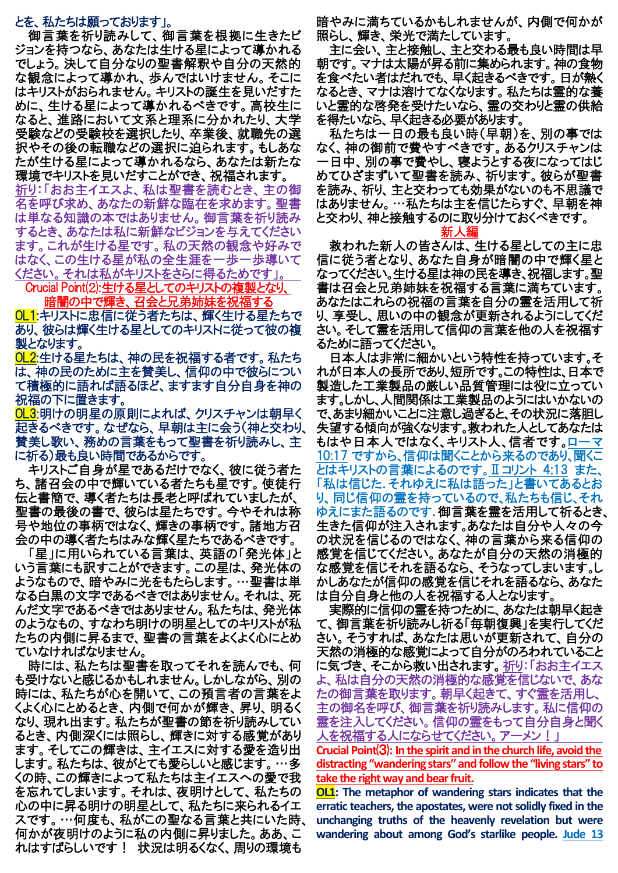# とを、私たちは願っております」。

御言葉を祈り読みして、御言葉を根拠に生きたビ ジョンを持つなら、あなたは生ける星によって導かれる でしょう。決して自分なりの聖書解釈や自分の天然的 な観念によって導かれ、歩んではいけません。そこに はキリストがおられません。キリストの誕生を見いだすた めに、生ける星によって導かれるべきです。高校生に なると、進路において文系と理系に分かれたり、大学 受験などの受験校を選択したり、卒業後、就職先の選 択やその後の転職などの選択に迫られます。もしあな たが生ける星によって導かれるなら、あなたは新たな 環境でキリストを見いだすことができ、祝福されます。

祈り:「おお主イエスよ、私は聖書を読むとき、主の御 名を呼び求め、あなたの新鮮な臨在を求めます。聖書 は単なる知識の本ではありません。御言葉を祈り読み するとき、あなたは私に新鮮なビジョンを与えてください ます。これが生ける星です。私の天然の観念や好みで はなく、この生ける星が私の全生涯を一歩一歩導いて ください。それは私がキリストをさらに得るためです」。

Crucial Point(2): 生ける星としてのキリストの複製となり、 暗闇の中で輝き、召会と兄弟姉妹を祝

OL1:キリストに忠信に従う者たちは、輝く生ける星たちで あり、彼らは輝く生ける星としてのキリストに従って彼の複 製となります。

OL2:生ける星たちは、神の民を祝福する者です。私たち は、神の民のために主を賛美し、信仰の中で彼らについ て積極的に語れば語るほど、ますます自分自身を神の 祝福の下に置きます。

OL3:明けの明星の原則によれば、クリスチャンは朝早く 起きるべきです。なぜなら、早朝は主に会う(神と交わり、 賛美し歌い、務めの言葉をもって聖書を祈り読みし、主 に祈る)最も良い時間であるからです。

キリストご自身が星であるだけでなく、彼に従う者た ち、諸召会の中で輝いている者たちも星です。使徒行 伝と書簡で、導く者たちは長老と呼ばれていましたが、 聖書の最後の書で、彼らは星たちです。今やそれは称 号や地位の事柄ではなく、輝きの事柄です。諸地方召 会の中の導く者たちはみな輝く星たちであるべきです。

「星」に用いられている言葉は、英語の「発光体」と いう言葉にも訳すことができます。この星は、発光体の ようなもので、暗やみに光をもたらします。…聖書は単 なる白黒の文字であるべきではありません。それは、死 んだ文字であるべきではありません。私たちは、発光体 のようなもの、すなわち明けの明星としてのキリストが私 たちの内側に昇るまで、聖書の言葉をよくよく心にとめ ていなければなりません。

時には、私たちは聖書を取ってそれを読んでも、何 も受けないと感じるかもしれません。しかしながら、別の 時には、私たちが心を開いて、この預言者の言葉をよ くよく心にとめるとき、内側で何かが輝き、昇り、明るく なり、現れ出ます。私たちが聖書の節を祈り読みしてい るとき、内側深くには照らし、輝きに対する感覚があり ます。そしてこの輝きは、主イエスに対する愛を造り出 します。私たちは、彼がとても愛らしいと感じます。…多 くの時、この輝きによって私たちは主イエスへの愛で我 を忘れてしまいます。それは、夜明けとして、私たちの 心の中に昇る明けの明星として、私たちに来られるイエ スです。…何度も、私がこの聖なる言葉と共にいた時、 何かが夜明けのように私の内側に昇りました。ああ、こ れはすばらしいです! 状況は明るくなく、周りの環境も

暗やみに満ちているかもしれませんが、内側で何かが 照らし、輝き、栄光で満たしています。

主に会い、主と接触し、主と交わる最も良い時間は早 朝です。マナは太陽が昇る前に集められます。神の食物 を食べたい者はだれでも、早く起きるべきです。日が熱く なるとき、マナは溶けてなくなります。私たちは霊的な養 いと霊的な啓発を受けたいなら、霊の交わりと霊の供給 を得たいなら、早く起きる必要があります。

私たちは一日の最も良い時(早朝)を、別の事では なく、神の御前で費やすべきです。あるクリスチャンは 一日中、別の事で費やし、寝ようとする夜になってはじ めてひざまずいて聖書を読み、祈ります。彼らが聖書 を読み、祈り、主と交わっても効果がないのも不思議で はありません。…私たちは主を信じたらすぐ、早朝を神 と交わり、神と接触するのに取り分けておくべきです。

### 新人編

救われた新人の皆さんは、生ける星としての主に忠 信に従う者となり、あなた自身が暗闇の中で輝く星と なってください。生ける星は神の民を導き、祝福します。聖 書は召会と兄弟姉妹を祝福する言葉に満ちています。 あなたはこれらの祝福の言葉を自分の霊を活用して祈 り、享受し、思いの中の観念が更新されるようにしてくだ さい。そして霊を活用して信仰の言葉を他の人を祝福す るために語ってください。

日本人は非常に細かいという特性を持っています。そ れが日本人の長所であり、短所です。この特性は、日本で 製造した工業製品の厳しい品質管理には役に立ってい ます。しかし、人間関係は工業製品のようにはいかないの で、あまり細かいことに注意し過ぎると、その状況に落胆し 失望する傾向が強くなります。救われた人としてあなたは もはや日本人ではなく、キリスト人、信者です。ローマ 10:17 ですから、信仰は聞くことから来るのであり、聞くこ とはキリストの言葉によるのです。Ⅱコリント 4:13 また、 「私は信じた.それゆえに私は語った」と書いてあるとお り、同じ信仰の霊を持っているので、私たちも信じ、それ ゆえにまた語るのです.御言葉を霊を活用して祈るとき、 生きた信仰が注入されます。あなたは自分や人々の今 の状況を信じるのではなく、神の言葉から来る信仰の 感覚を信じてください。あなたが自分の天然の消極的 な感覚を信じそれを語るなら、そうなってしまいます。し かしあなたが信仰の感覚を信じそれを語るなら、あなた は自分自身と他の人を祝福する人となります。

実際的に信仰の霊を持つために、あなたは朝早く起き て、御言葉を祈り読みし祈る「毎朝復興」を実行してくだ さい。そうすれば、あなたは思いが更新されて、自分の 天然の消極的な感覚によって自分がのろわれていること に気づき、そこから救い出されます。祈り:「おお主イエス よ、私は自分の天然の消極的な感覚を信じないで、あな たの御言葉を取ります。朝早く起きて、すぐ霊を活用し、 主の御名を呼び、御言葉を祈り読みします。私に信仰の 霊を注入してください。信仰の霊をもって自分自身と聞く 人を祝福する人にならせてください。アーメン!」

**Crucial Point**⑶**: In the spirit and in the church life, avoid the distracting "wandering stars" and follow the "living stars" to take the rightway and bear fruit.**

**OL1: The metaphor of wandering stars indicates that the erratic teachers, the apostates, were not solidly fixed in the unchanging truths of the heavenly revelation but were wandering about among God's starlike people. Jude 13**